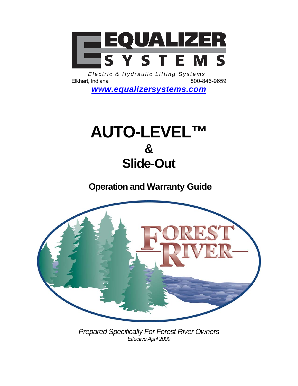

*Electric & Hydraulic Lifting Systems*  Elkhart, Indiana 800-846-9659

*www.equalizersystems.com*

# **AUTO-LEVEL™ & Slide-Out**

**Operation and Warranty Guide** 



*Prepared Specifically For Forest River Owners Effective April 2009*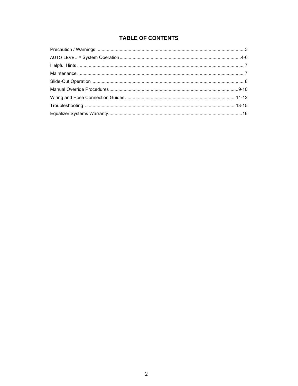## **TABLE OF CONTENTS**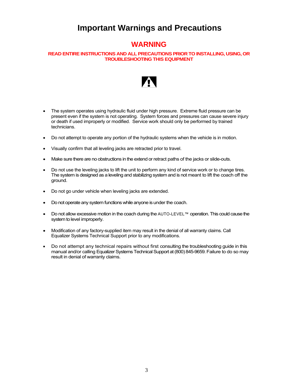# **Important Warnings and Precautions**

# **WARNING**

#### **READ ENTIRE INSTRUCTIONS AND ALL PRECAUTIONS PRIOR TO INSTALLING, USING, OR TROUBLESHOOTING THIS EQUIPMENT**



- The system operates using hydraulic fluid under high pressure. Extreme fluid pressure can be present even if the system is not operating. System forces and pressures can cause severe injury or death if used improperly or modified. Service work should only be performed by trained technicians.
- Do not attempt to operate any portion of the hydraulic systems when the vehicle is in motion.
- Visually confirm that all leveling jacks are retracted prior to travel.
- Make sure there are no obstructions in the extend or retract paths of the jacks or slide-outs.
- Do not use the leveling jacks to lift the unit to perform any kind of service work or to change tires. The system is designed as a leveling and stabilizing system and is not meant to lift the coach off the ground.
- Do not go under vehicle when leveling jacks are extended.
- Do not operate any system functions while anyone is under the coach.
- Do not allow excessive motion in the coach during the AUTO-LEVEL™ operation. This could cause the system to level improperly.
- Modification of any factory-supplied item may result in the denial of all warranty claims. Call Equalizer Systems Technical Support prior to any modifications.
- Do not attempt any technical repairs without first consulting the troubleshooting guide in this manual and/or calling Equalizer Systems Technical Support at (800) 845-9659. Failure to do so may result in denial of warranty claims.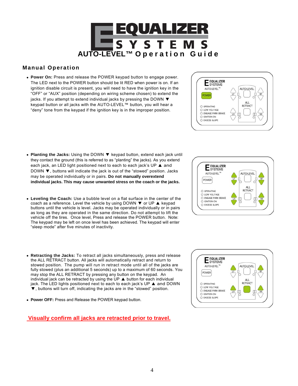

### **Manual Operation**

• **Power On:** Press and release the POWER keypad button to engage power. The LED next to the POWER button should be lit RED when power is on. If an ignition disable circuit is present, you will need to have the ignition key in the "OFF" or "AUX" position (depending on wiring scheme chosen) to extend the jacks. If you attempt to extend individual jacks by pressing the DOWN  $\blacktriangledown$ keypad button or all jacks with the AUTO-LEVEL™ button, you will hear a "deny" tone from the keypad if the ignition key is in the improper position.



- **Planting the Jacks:** Using the DOWN ▼ keypad button, extend each jack until they contact the ground (this is referred to as "planting" the jacks). As you extend each jack, an LED light positioned next to each to each jack's UP ▲ and DOWN ▼, buttons will indicate the jack is out of the "stowed" position. Jacks may be operated individually or in pairs. **Do not manually overextend individual jacks. This may cause unwanted stress on the coach or the jacks.**
- **Leveling the Coach:** Use a bubble level on a flat surface in the center of the coach as a reference. Level the vehicle by using DOWN  $\blacktriangledown$  or UP ▲ keypad buttons until the vehicle is level. Jacks may be operated individually or in pairs as long as they are operated in the same direction. Do not attempt to lift the vehicle off the tires. Once level, Press and release the POWER button. Note: The keypad may be left on once level has been achieved. The keypad will enter "sleep mode" after five minutes of inactivity.
- **Retracting the Jacks:** To retract all jacks simultaneously, press and release the ALL RETRACT button. All jacks will automatically retract and return to stowed position. The pump will run in retract mode until all of the jacks are fully stowed (plus an additional 5 seconds) up to a maximum of 60 seconds. You may stop the ALL RETRACT by pressing any button on the keypad. An individual jack can be retracted by using the UP ▲ button for each individual jack. The LED lights positioned next to each to each jack's UP ▲ and DOWN ▼, buttons will turn off, indicating the jacks are in the "stowed" position.
- **Power OFF:** Press and Release the POWER keypad button.



 **Visually confirm all jacks are retracted prior to travel.**

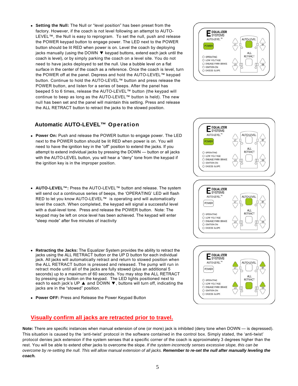• **Setting the Null:** The Null or "level position" has been preset from the factory. However, if the coach is not level following an attempt to AUTO-LEVEL™, the Null is easy to reprogram. To set the null, push and release the POWER keypad button to engage power. The LED next to the POWER button should be lit RED when power is on. Level the coach by deploying jacks manually (using the DOWN  $\blacktriangledown$  keypad buttons, extend each jack until the coach is level), or by simply parking the coach on a level site. You do not need to have jacks deployed to set the null. Use a bubble level on a flat surface in the center of the coach as a reference. Once the coach is level, turn the POWER off at the panel. Depress and hold the AUTO-LEVEL™ keypad button. Continue to hold the AUTO-LEVEL™ button and press release the POWER button, and listen for a series of beeps. After the panel has beeped 5 to 6 times, release the AUTO-LEVEL™ button (the keypad will continue to beep as long as the AUTO-LEVEL™ button is held). The new null has been set and the panel will maintain this setting. Press and release the ALL RETRACT button to retract the jacks to the stowed position.

### **Automatic AUTO-LEVEL™ Operation**

- **Power On:** Push and release the POWER button to engage power. The LED next to the POWER button should be lit RED when power is on. You will need to have the ignition key in the "off" position to extend the jacks. If you attempt to extend individual jacks by pressing the DOWN — button or all jacks with the AUTO-LEVEL button, you will hear a "deny" tone from the keypad if the ignition key is in the improper position.
- **AUTO-LEVEL™:** Press the AUTO-LEVEL™ button and release. The system will send out a continuous series of beeps, the 'OPERATING' LED will flash RED to let you know AUTO-LEVEL™ is operating and will automatically level the coach. When completed, the keypad will signal a successful level with a dual-level tone. Press and release the POWER button. Note: The keypad may be left on once level has been achieved. The keypad will enter "sleep mode" after five minutes of inactivity
- **Retracting the Jacks:** The Equalizer System provides the ability to retract the jacks using the ALL RETRACT button or the UP D button for each individual jack. All jacks will automatically retract and return to stowed position when the ALL RETRACT button is pressed and released. The pump will run in retract mode until all of the jacks are fully stowed (plus an additional 5 seconds) up to a maximum of 60 seconds. You may stop the ALL RETRACT by pressing any button on the keypad. The LED lights positioned next to each to each jack's UP ▲ and DOWN ▼, buttons will turn off, indicating the jacks are in the "stowed" position.
- **Power OFF:** Press and Release the Power Keypad Button

### **Visually confirm all jacks are retracted prior to travel.**

**Note:** There are specific instances when manual extension of one (or more) jack is inhibited (deny tone when DOWN — is depressed). This situation is caused by the 'anti-twist' protocol in the software contained in the control box. Simply stated, the 'anti-twist' protocol denies jack extension if the system senses that a specific corner of the coach is approximately 3 degrees higher than the rest. You will be able to extend other jacks to overcome the slope. *If the system incorrectly senses excessive slope, this can be overcome by re-setting the null. This will allow manual extension of all jacks. Remember to re-set the null after manually leveling the coach.* 



5





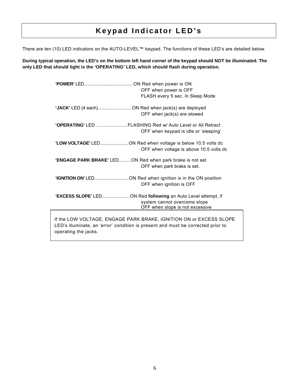# **Keypad Indicator LED's**

There are ten (10) LED indicators on the AUTO-LEVEL™ keypad. The functions of these LED's are detailed below.

**During typical operation, the LED's on the bottom left hand corner of the keypad should NOT be illuminated. The only LED that should light is the 'OPERATING' LED, which should flash during operation.** 

| OFF when power is OFF                                                                                                                                                          | FLASH every 5 sec. In Sleep Mode                                |
|--------------------------------------------------------------------------------------------------------------------------------------------------------------------------------|-----------------------------------------------------------------|
| OFF when jack(s) are stowed                                                                                                                                                    |                                                                 |
| 'OPERATING' LED FLASHING Red w/ Auto Level or All Retract                                                                                                                      | OFF when keypad is idle or 'sleeping'                           |
|                                                                                                                                                                                | OFF when voltage is above 10.5 volts dc                         |
| 'ENGAGE PARK BRAKE' LEDON Red when park brake is not set<br>OFF when park brake is set.                                                                                        |                                                                 |
| OFF when ignition is OFF                                                                                                                                                       |                                                                 |
| 'EXCESS SLOPE' LEDON Red following an Auto Level attempt, if                                                                                                                   | system cannot overcome slope<br>OFF when slope is not excessive |
| If the LOW VOLTAGE, ENGAGE PARK BRAKE, IGNITION ON or EXCESS SLOPE<br>LED's illuminate, an 'error' condition is present and must be corrected prior to<br>operating the jacks. |                                                                 |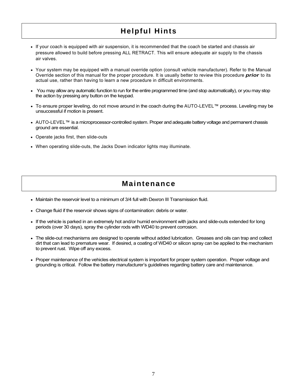# **Helpful Hints**

- If your coach is equipped with air suspension, it is recommended that the coach be started and chassis air pressure allowed to build before pressing ALL RETRACT. This will ensure adequate air supply to the chassis air valves.
- Your system may be equipped with a manual override option (consult vehicle manufacturer). Refer to the Manual Override section of this manual for the proper procedure. It is usually better to review this procedure *prior* to its actual use, rather than having to learn a new procedure in difficult environments.
- You may allow any automatic function to run for the entire programmed time (and stop automatically), or you may stop the action by pressing any button on the keypad.
- To ensure proper leveling, do not move around in the coach during the AUTO-LEVEL™ process. Leveling may be unsuccessful if motion is present.
- AUTO-LEVEL™ is a microprocessor-controlled system. Proper and adequate battery voltage and permanent chassis ground are essential.
- Operate jacks first, then slide-outs
- When operating slide-outs, the Jacks Down indicator lights may illuminate.

# **Maintenance**

- Maintain the reservoir level to a minimum of 3/4 full with Dexron III Transmission fluid.
- Change fluid if the reservoir shows signs of contamination: debris or water.
- If the vehicle is parked in an extremely hot and/or humid environment with jacks and slide-outs extended for long periods (over 30 days), spray the cylinder rods with WD40 to prevent corrosion.
- The slide-out mechanisms are designed to operate without added lubrication. Greases and oils can trap and collect dirt that can lead to premature wear. If desired, a coating of WD40 or silicon spray can be applied to the mechanism to prevent rust. Wipe off any excess.
- Proper maintenance of the vehicles electrical system is important for proper system operation. Proper voltage and grounding is critical. Follow the battery manufacturer's guidelines regarding battery care and maintenance.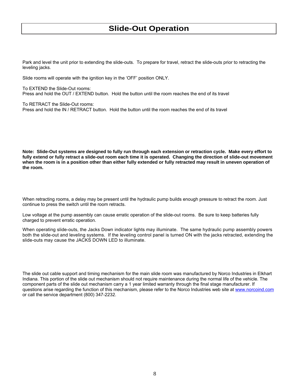# **Slide-Out Operation**

Park and level the unit prior to extending the slide-outs. To prepare for travel, retract the slide-outs prior to retracting the leveling jacks.

Slide rooms will operate with the ignition key in the 'OFF' position ONLY.

To EXTEND the Slide-Out rooms: Press and hold the OUT / EXTEND button. Hold the button until the room reaches the end of its travel

To RETRACT the Slide-Out rooms: Press and hold the IN / RETRACT button. Hold the button until the room reaches the end of its travel

**Note: Slide-Out systems are designed to fully run through each extension or retraction cycle. Make every effort to fully extend or fully retract a slide-out room each time it is operated. Changing the direction of slide-out movement when the room is in a position other than either fully extended or fully retracted may result in uneven operation of the room.** 

When retracting rooms, a delay may be present until the hydraulic pump builds enough pressure to retract the room. Just continue to press the switch until the room retracts.

Low voltage at the pump assembly can cause erratic operation of the slide-out rooms. Be sure to keep batteries fully charged to prevent erratic operation.

When operating slide-outs, the Jacks Down indicator lights may illuminate. The same hydraulic pump assembly powers both the slide-out and leveling systems. If the leveling control panel is turned ON with the jacks retracted, extending the slide-outs may cause the JACKS DOWN LED to illuminate.

The slide out cable support and timing mechanism for the main slide room was manufactured by Norco Industries in Elkhart Indiana. This portion of the slide out mechanism should not require maintenance during the normal life of the vehicle. The component parts of the slide out mechanism carry a 1 year limited warranty through the final stage manufacturer. If questions arise regarding the function of this mechanism, please refer to the Norco Industries web site at www.norcoind.com or call the service department (800) 347-2232.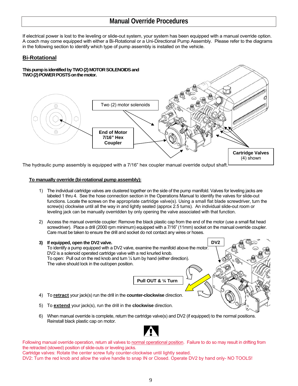# **Manual Override Procedures**

If electrical power is lost to the leveling or slide-out system, your system has been equipped with a manual override option. A coach may come equipped with either a Bi-Rotational or a Uni-Directional Pump Assembly. Please refer to the diagrams in the following section to identify which type of pump assembly is installed on the vehicle.

### **Bi-Rotational**



#### **To manually override (bi-rotational pump assembly):**

- 1) The individual cartridge valves are clustered together on the side of the pump manifold. Valves for leveling jacks are labeled 1 thru 4. See the hose connection section in the Operations Manual to identify the valves for slide-out functions. Locate the screws on the appropriate cartridge valve(s). Using a small flat blade screwdriver, turn the screw(s) clockwise until all the way in and lightly seated (approx 2.5 turns). An individual slide-out room or leveling jack can be manually overridden by only opening the valve associated with that function.
- 2) Access the manual override coupler: Remove the black plastic cap from the end of the motor (use a small flat head screwdriver). Place a drill (2000 rpm minimum) equipped with a 7/16" (11mm) socket on the manual override coupler. Care must be taken to ensure the drill and socket do not contact any wires or hoses.



6) When manual override is complete, return the cartridge valve(s) and DV2 (if equipped) to the normal positions. Reinstall black plastic cap on motor.



Following manual override operation, return all valves to normal operational position. Failure to do so may result in drifting from the retracted (stowed) position of slide-outs or leveling jacks. Cartridge valves: Rotate the center screw fully counter-clockwise until lightly seated.

DV2: Turn the red knob and allow the valve handle to snap IN or Closed. Operate DV2 by hand only- NO TOOLS!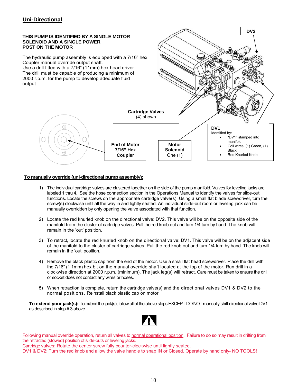#### **THIS PUMP IS IDENTIFIED BY A SINGLE MOTOR SOLENOID AND A SINGLE POWER POST ON THE MOTOR**

Œ

The hydraulic pump assembly is equipped with a 7/16" hex Coupler manual override output shaft. Use a drill fitted with a 7/16" (11mm) hex head driver. The drill must be capable of producing a minimum of 2000 r.p.m. for the pump to develop adequate fluid output.



#### **To manually override (uni-directional pump assembly):**

- 1) The individual cartridge valves are clustered together on the side of the pump manifold. Valves for leveling jacks are labeled 1 thru 4. See the hose connection section in the Operations Manual to identify the valves for slide-out functions. Locate the screws on the appropriate cartridge valve(s). Using a small flat blade screwdriver, turn the screw(s) clockwise until all the way in and lightly seated. An individual slide-out room or leveling jack can be manually overridden by only opening the valve associated with that function.
- 2) Locate the red knurled knob on the directional valve: DV2. This valve will be on the opposite side of the manifold from the cluster of cartridge valves. Pull the red knob out and turn 1/4 turn by hand. The knob will remain in the 'out' position.
- 3) To retract, locate the red knurled knob on the directional valve: DV1. This valve will be on the adjacent side of the manifold to the cluster of cartridge valves. Pull the red knob out and turn 1/4 turn by hand. The knob will remain in the 'out' position.
- 4) Remove the black plastic cap from the end of the motor. Use a small flat head screwdriver. Place the drill with the 7/16" (1 1mm) hex bit on the manual override shaft located at the top of the motor. Run drill in a clockwise direction at 2000 r.p.m. (minimum). The jack leg(s) will retract. Care must be taken to ensure the drill or socket does not contact any wires or hoses.
- 5) When retraction is complete, return the cartridge valve(s) and the directional valves DV1 & DV2 to the normal positions. Reinstall black plastic cap on motor.

**To extend your jack(s):** To extend the jack(s), follow all of the above steps EXCEPT DO NOT manually shift directional valve DV1 as described in step # 3 above.



Following manual override operation, return all valves to normal operational position. Failure to do so may result in drifting from the retracted (stowed) position of slide-outs or leveling jacks.

Cartridge valves: Rotate the center screw fully counter-clockwise until lightly seated.

DV1 & DV2: Turn the red knob and allow the valve handle to snap IN or Closed. Operate by hand only- NO TOOLS!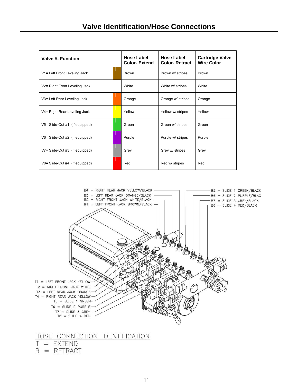# **Valve Identification/Hose Connections**

| Valve #- Function              | <b>Hose Label</b><br><b>Color-Extend</b> | <b>Hose Label</b><br><b>Color-Retract</b> | <b>Cartridge Valve</b><br><b>Wire Color</b> |
|--------------------------------|------------------------------------------|-------------------------------------------|---------------------------------------------|
| V1= Left Front Leveling Jack   | <b>Brown</b>                             | Brown w/ stripes                          | <b>Brown</b>                                |
| V2= Right Front Leveling Jack  | White                                    | White w/ stripes                          | White                                       |
| V3= Left Rear Leveling Jack    | Orange                                   | Orange w/ stripes                         | Orange                                      |
| V4= Right Rear Leveling Jack   | Yellow                                   | Yellow w/ stripes                         | Yellow                                      |
| V5= Slide-Out #1 (if equipped) | Green                                    | Green w/ stripes                          | Green                                       |
| V6= Slide-Out #2 (if equipped) | Purple                                   | Purple w/ stripes                         | Purple                                      |
| V7= Slide-Out #3 (if equipped) | Grey                                     | Grey w/ stripes                           | Grey                                        |
| V8= Slide-Out #4 (if equipped) | Red                                      | Red w/ stripes                            | Red                                         |



 $B = RETRACT$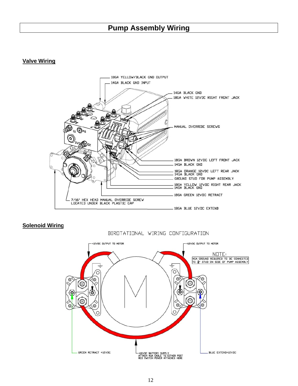# **Pump Assembly Wiring**

#### **Valve Wiring**



#### **Solenoid Wiring**



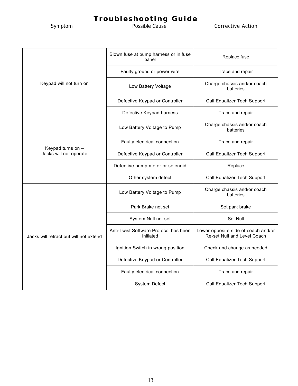**Troubleshooting Guide**

Symptom **Possible Cause** Corrective Action

| Keypad will not turn on                     | Blown fuse at pump harness or in fuse<br>panel     | Replace fuse                                                       |
|---------------------------------------------|----------------------------------------------------|--------------------------------------------------------------------|
|                                             | Faulty ground or power wire                        | Trace and repair                                                   |
|                                             | Low Battery Voltage                                | Charge chassis and/or coach<br>batteries                           |
|                                             | Defective Keypad or Controller                     | Call Equalizer Tech Support                                        |
|                                             | Defective Keypad harness                           | Trace and repair                                                   |
| Keypad turns on -<br>Jacks will not operate | Low Battery Voltage to Pump                        | Charge chassis and/or coach<br>batteries                           |
|                                             | Faulty electrical connection                       | Trace and repair                                                   |
|                                             | Defective Keypad or Controller                     | Call Equalizer Tech Support                                        |
|                                             | Defective pump motor or solenoid                   | Replace                                                            |
|                                             | Other system defect                                | Call Equalizer Tech Support                                        |
| Jacks will retract but will not extend      | Low Battery Voltage to Pump                        | Charge chassis and/or coach<br>batteries                           |
|                                             | Park Brake not set                                 | Set park brake                                                     |
|                                             | System Null not set                                | Set Null                                                           |
|                                             | Anti-Twist Software Protocol has been<br>Initiated | Lower opposite side of coach and/or<br>Re-set Null and Level Coach |
|                                             | Ignition Switch in wrong position                  | Check and change as needed                                         |
|                                             | Defective Keypad or Controller                     | Call Equalizer Tech Support                                        |
|                                             | Faulty electrical connection                       | Trace and repair                                                   |
|                                             | System Defect                                      | Call Equalizer Tech Support                                        |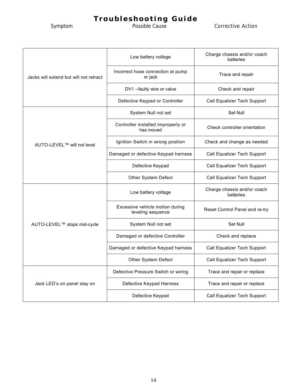**Troubleshooting Guide**

Symptom **Possible Cause** Corrective Action

| Jacks will extend but will not retract | Low battery voltage                                  | Charge chassis and/or coach<br>batteries |
|----------------------------------------|------------------------------------------------------|------------------------------------------|
|                                        | Incorrect hose connection at pump<br>or jack         | Trace and repair                         |
|                                        | DV1 -- faulty wire or valve                          | Check and repair                         |
|                                        | Defective Keypad or Controller                       | Call Equalizer Tech Support              |
| AUTO-LEVEL™ will not level             | System Null not set                                  | Set Null                                 |
|                                        | Controller installed improperly or<br>has moved      | Check controller orientation             |
|                                        | Ignition Switch in wrong position                    | Check and change as needed               |
|                                        | Damaged or defective Keypad harness                  | Call Equalizer Tech Support              |
|                                        | Defective Keypad                                     | Call Equalizer Tech Support              |
|                                        | Other System Defect                                  | Call Equalizer Tech Support              |
| AUTO-LEVEL™ stops mid-cycle            | Low battery voltage                                  | Charge chassis and/or coach<br>batteries |
|                                        | Excessive vehicle motion during<br>leveling sequence | Reset Control Panel and re-try           |
|                                        | System Null not set                                  | Set Null                                 |
|                                        | Damaged or defective Controller                      | Check and replace                        |
|                                        | Damaged or defective Keypad harness                  | Call Equalizer Tech Support              |
|                                        | Other System Defect                                  | Call Equalizer Tech Support              |
| Jack LED's on panel stay on            | Defective Pressure Switch or wiring                  | Trace and repair or replace              |
|                                        | Defective Keypad Harness                             | Trace and repair or replace              |
|                                        | Defective Keypad                                     | Call Equalizer Tech Support              |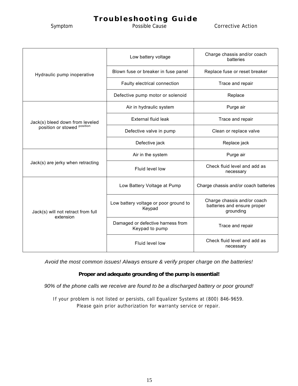**Troubleshooting Guide**

Symptom **Possible Cause** Corrective Action

| Hydraulic pump inoperative                                     | Low battery voltage                                 | Charge chassis and/or coach<br>batteries                                |
|----------------------------------------------------------------|-----------------------------------------------------|-------------------------------------------------------------------------|
|                                                                | Blown fuse or breaker in fuse panel                 | Replace fuse or reset breaker                                           |
|                                                                | Faulty electrical connection                        | Trace and repair                                                        |
|                                                                | Defective pump motor or solenoid                    | Replace                                                                 |
| Jack(s) bleed down from leveled<br>position or stowed position | Air in hydraulic system                             | Purge air                                                               |
|                                                                | External fluid leak                                 | Trace and repair                                                        |
|                                                                | Defective valve in pump                             | Clean or replace valve                                                  |
|                                                                | Defective jack                                      | Replace jack                                                            |
| Jack(s) are jerky when retracting                              | Air in the system                                   | Purge air                                                               |
|                                                                | Fluid level low                                     | Check fluid level and add as<br>necessary                               |
| Jack(s) will not retract from full<br>extension                | Low Battery Voltage at Pump                         | Charge chassis and/or coach batteries                                   |
|                                                                | Low battery voltage or poor ground to<br>Keypad     | Charge chassis and/or coach<br>batteries and ensure proper<br>grounding |
|                                                                | Damaged or defective harness from<br>Keypad to pump | Trace and repair                                                        |
|                                                                | Fluid level low                                     | Check fluid level and add as<br>necessary                               |

*Avoid the most common issues! Always ensure & verify proper charge on the batteries!* 

### **Proper and adequate grounding of the pump is essential!**

*90% of the phone calls we receive are found to be a discharged battery or poor ground!* 

If your problem is not listed or persists, call Equalizer Systems at (800) 846-9659. Please gain prior authorization for warranty service or repair.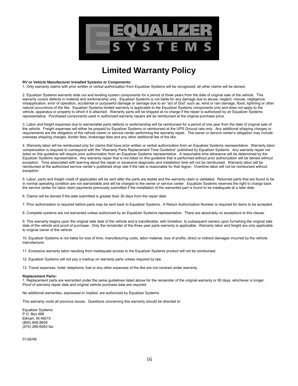

# **Limited Warranty Policy**

#### **RV or Vehicle Manufacturer Installed Systems or Components:**

1. Only warranty claims with prior written or verbal authorization from Equalizer Systems will be recognized, all other claims will be denied.

2. Equalizer Systems warrants slide out and leveling system components for a period of three years from the date of original sale of the vehicle. This warranty covers defects in material and workmanship only. Equalizer Systems is not liable for any damage due to abuse, neglect, misuse, negligence, misapplication, error of operation, accidental or purposeful damage or damage due to an "act of God" such as, wind or rain damage, flood, lightning or other natural occurrence of the like. Equalizer Systems limited warranty is applicable to the Equalizer Systems components only and does not apply to the vehicle, apparatus or property to which it is attached. Warranty parts will be shipped at no charge if the repair is authorized by an Equalizer Systems representative. Purchased components used in authorized warranty repairs will be reimbursed at the original purchase price.

3. Labor and freight expenses due to warrantable parts defects or workmanship will be reimbursed for a period of one year from the date of original sale of the vehicle. Freight expenses will either be prepaid by Equalizer Systems or reimbursed at the UPS Ground rate only. Any additional shipping charges or requirements are the obligation of the vehicle owner or service center performing the warranty repair. The owner or service center's obligation may include overseas shipping charges, border fees, brokerage fees and any other additional fee of the like.

4. Warranty labor will be reimbursed only for claims that have prior written or verbal authorization from an Equalizer Systems representative. Warranty labor compensation is required to correspond with the "Warranty Parts Replacement Time Guideline" published by Equalizer Systems. Any warranty repair not listed on this guideline will require prior authorization from an Equalizer Systems representative. A reasonable time allowance will be determined by the Equalizer Systems representative. Any warranty repair that is not listed on this guideline that is performed without prior authorization will be denied without exception. Time associated with learning about the repair or excessive diagnostic and installation time will not be reimbursed. Warranty labor will be reimbursed at the authorized service center's published shop rate if the rate is reasonable for that region. Overtime labor will not be reimbursed without exception.

5. Labor, parts and freight credit (if applicable) will be sent after the parts are tested and the warranty claim is validated. Returned parts that are found to be in normal operating condition are not warrantable and will be charged to the owner or service center. Equalizer Systems reserves the right to charge back the service center for labor claim payments previously submitted if the installation of the warranted part is found to be inadequate at a later date.

6. Claims will be denied if the date submitted is greater than 30 days from the repair date.

7. Prior authorization is required before parts may be sent back to Equalizer Systems. A Return Authorization Number is required for items to be accepted.

8. Complete systems are not warranted unless authorized by an Equalizer Systems representative. There are absolutely no exceptions to this clause.

9. This warranty begins upon the original sale date of the vehicle and is transferable, with limitation, to subsequent owners upon furnishing the original sale date of the vehicle and proof of purchase. Only the remainder of the three year parts warranty is applicable. Warranty labor and freight are only applicable to original owner of the vehicle.

10. Equalizer Systems is not liable for loss of time, manufacturing costs, labor material, loss of profits, direct or indirect damages incurred by the vehicle manufacturer.

11. Excessive warranty labor resulting from inadequate access to the Equalizer Systems product will not be reimbursed.

12. Equalizer Systems will not pay a markup on warranty parts unless required by law.

13. Travel expenses, hotel, telephone, fuel or any other expenses of the like are not covered under warranty.

#### **Replacement Parts:**

1. Replacement parts are warranted under the same guidelines listed above for the remainder of the original warranty or 90 days, whichever is longer. Proof of warranty repair date and original vehicle purchase date are required.

No additional warranties, expressed or implied, are authorized by Equalizer Systems

This warranty voids all previous issues. Questions concerning this warranty should be directed to:

Equalizer Systems P.O. Box 668 Elkhart, IN 46515 (800) 846-9659 (574) 266-6083 fax

01/26/06